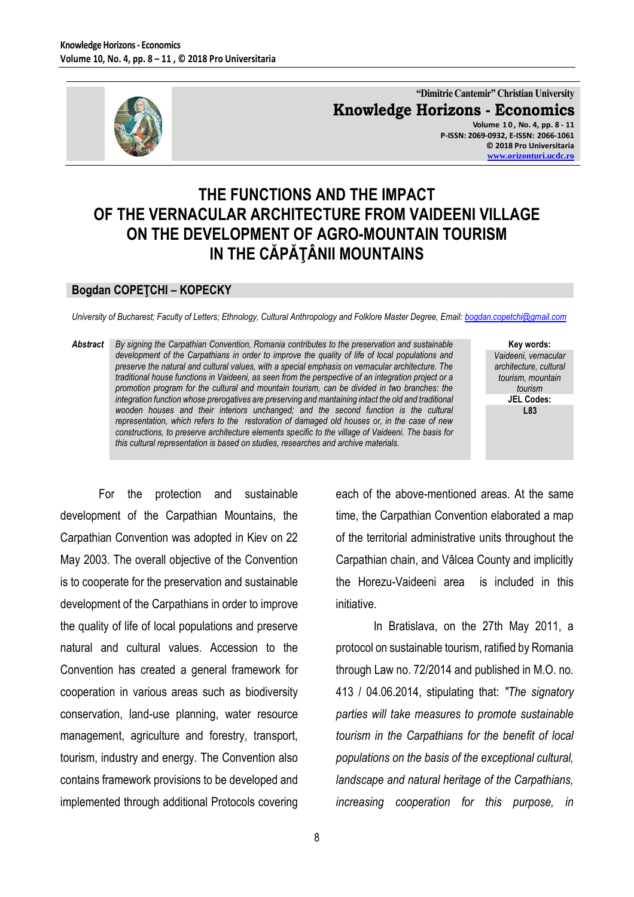

**"Dimitrie Cantemir" Christian University Knowledge Horizons - Economics Volume 1 0 , No. 4, pp. 8 - 11 P-ISSN: 2069-0932, E-ISSN: 2066-1061 © 2018 Pro Universitaria [www.orizonturi.ucdc.ro](http://www.orizonturi.ucdc.ro/)**

## **THE FUNCTIONS AND THE IMPACT OF THE VERNACULAR ARCHITECTURE FROM VAIDEENI VILLAGE ON THE DEVELOPMENT OF AGRO-MOUNTAIN TOURISM IN THE CĂPĂŢÂNII MOUNTAINS**

## **Bogdan COPEŢCHI – KOPECKY**

*University of Bucharest; Faculty of Letters; Ethnology, Cultural Anthropology and Folklore Master Degree, Email[: bogdan.copetchi@gmail.com](mailto:bogdan.copetchi@gmail.com)*

*Abstract By signing the Carpathian Convention, Romania contributes to the preservation and sustainable development of the Carpathians in order to improve the quality of life of local populations and preserve the natural and cultural values, with a special emphasis on vernacular architecture. The traditional house functions in Vaideeni, as seen from the perspective of an integration project or a promotion program for the cultural and mountain tourism, can be divided in two branches: the integration function whose prerogatives are preserving and mantaining intact the old and traditional wooden houses and their interiors unchanged; and the second function is the cultural representation, which refers to the restoration of damaged old houses or, in the case of new constructions, to preserve architecture elements specific to the village of Vaideeni. The basis for this cultural representation is based on studies, researches and archive materials.*

**Key words:** *Vaideeni, vernacular architecture, cultural tourism, mountain tourism* **JEL Codes: L83**

For the protection and sustainable development of the Carpathian Mountains, the Carpathian Convention was adopted in Kiev on 22 May 2003. The overall objective of the Convention is to cooperate for the preservation and sustainable development of the Carpathians in order to improve the quality of life of local populations and preserve natural and cultural values. Accession to the Convention has created a general framework for cooperation in various areas such as biodiversity conservation, land-use planning, water resource management, agriculture and forestry, transport, tourism, industry and energy. The Convention also contains framework provisions to be developed and implemented through additional Protocols covering each of the above-mentioned areas. At the same time, the Carpathian Convention elaborated a map of the territorial administrative units throughout the Carpathian chain, and Vâlcea County and implicitly the Horezu-Vaideeni area is included in this initiative.

In Bratislava, on the 27th May 2011, a protocol on sustainable tourism, ratified by Romania through Law no. 72/2014 and published in M.O. no. 413 / 04.06.2014, stipulating that: *"The signatory parties will take measures to promote sustainable tourism in the Carpathians for the benefit of local populations on the basis of the exceptional cultural, landscape and natural heritage of the Carpathians, increasing cooperation for this purpose, in*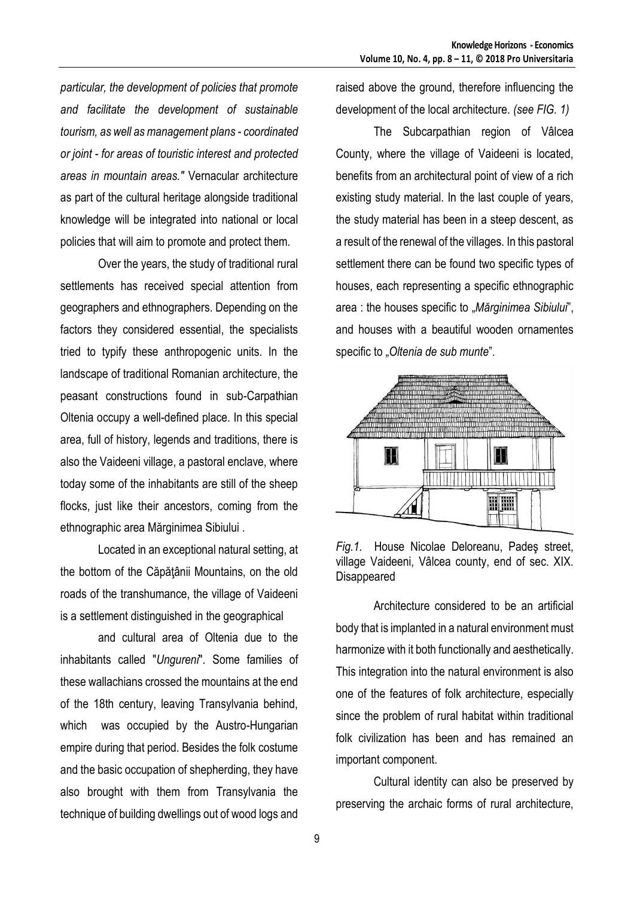*particular, the development of policies that promote and facilitate the development of sustainable tourism, as well as management plans - coordinated or joint - for areas of touristic interest and protected areas in mountain areas."* Vernacular architecture as part of the cultural heritage alongside traditional knowledge will be integrated into national or local policies that will aim to promote and protect them.

Over the years, the study of traditional rural settlements has received special attention from geographers and ethnographers. Depending on the factors they considered essential, the specialists tried to typify these anthropogenic units. In the landscape of traditional Romanian architecture, the peasant constructions found in sub-Carpathian Oltenia occupy a well-defined place. In this special area, full of history, legends and traditions, there is also the Vaideeni village, a pastoral enclave, where today some of the inhabitants are still of the sheep flocks, just like their ancestors, coming from the ethnographic area Mărginimea Sibiului .

Located in an exceptional natural setting, at the bottom of the Căpăţânii Mountains, on the old roads of the transhumance, the village of Vaideeni is a settlement distinguished in the geographical

and cultural area of Oltenia due to the inhabitants called "*Ungureni*". Some families of these wallachians crossed the mountains at the end of the 18th century, leaving Transylvania behind, which was occupied by the Austro-Hungarian empire during that period. Besides the folk costume and the basic occupation of shepherding, they have also brought with them from Transylvania the technique of building dwellings out of wood logs and

raised above the ground, therefore influencing the development of the local architecture. *(see FIG. 1)*

The Subcarpathian region of Vâlcea County, where the village of Vaideeni is located, benefits from an architectural point of view of a rich existing study material. In the last couple of years, the study material has been in a steep descent, as a result of the renewal of the villages. In this pastoral settlement there can be found two specific types of houses, each representing a specific ethnographic area : the houses specific to "Mărginimea Sibiului", and houses with a beautiful wooden ornamentes specific to *"Oltenia de sub munte*".



*Fig.1.* House Nicolae Deloreanu, Padeş street, village Vaideeni, Vâlcea county, end of sec. XIX. Disappeared

Architecture considered to be an artificial body that is implanted in a natural environment must harmonize with it both functionally and aesthetically. This integration into the natural environment is also one of the features of folk architecture, especially since the problem of rural habitat within traditional folk civilization has been and has remained an important component.

Cultural identity can also be preserved by preserving the archaic forms of rural architecture,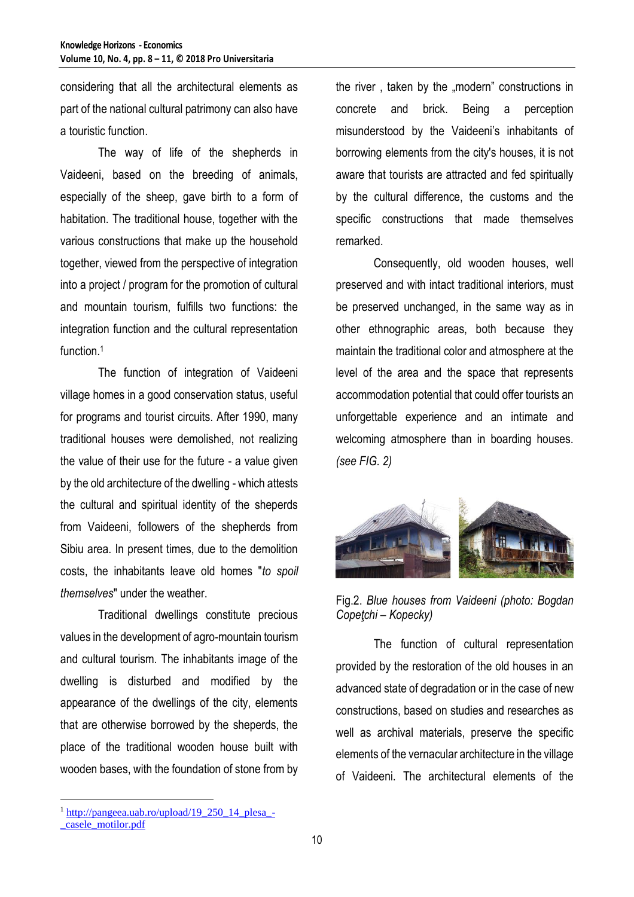considering that all the architectural elements as part of the national cultural patrimony can also have a touristic function.

The way of life of the shepherds in Vaideeni, based on the breeding of animals, especially of the sheep, gave birth to a form of habitation. The traditional house, together with the various constructions that make up the household together, viewed from the perspective of integration into a project / program for the promotion of cultural and mountain tourism, fulfills two functions: the integration function and the cultural representation function.<sup>1</sup>

The function of integration of Vaideeni village homes in a good conservation status, useful for programs and tourist circuits. After 1990, many traditional houses were demolished, not realizing the value of their use for the future - a value given by the old architecture of the dwelling - which attests the cultural and spiritual identity of the sheperds from Vaideeni, followers of the shepherds from Sibiu area. In present times, due to the demolition costs, the inhabitants leave old homes "*to spoil themselves*" under the weather.

Traditional dwellings constitute precious values in the development of agro-mountain tourism and cultural tourism. The inhabitants image of the dwelling is disturbed and modified by the appearance of the dwellings of the city, elements that are otherwise borrowed by the sheperds, the place of the traditional wooden house built with wooden bases, with the foundation of stone from by the river, taken by the "modern" constructions in concrete and brick. Being a perception misunderstood by the Vaideeni's inhabitants of borrowing elements from the city's houses, it is not aware that tourists are attracted and fed spiritually by the cultural difference, the customs and the specific constructions that made themselves remarked.

Consequently, old wooden houses, well preserved and with intact traditional interiors, must be preserved unchanged, in the same way as in other ethnographic areas, both because they maintain the traditional color and atmosphere at the level of the area and the space that represents accommodation potential that could offer tourists an unforgettable experience and an intimate and welcoming atmosphere than in boarding houses. *(see FIG. 2)*



Fig.2. *Blue houses from Vaideeni (photo: Bogdan Copeţchi – Kopecky)*

The function of cultural representation provided by the restoration of the old houses in an advanced state of degradation or in the case of new constructions, based on studies and researches as well as archival materials, preserve the specific elements of the vernacular architecture in the village of Vaideeni. The architectural elements of the

 $\overline{a}$ 

 $1$  [http://pangeea.uab.ro/upload/19\\_250\\_14\\_plesa\\_-](http://pangeea.uab.ro/upload/19_250_14_plesa_-_casele_motilor.pdf) [\\_casele\\_motilor.pdf](http://pangeea.uab.ro/upload/19_250_14_plesa_-_casele_motilor.pdf)